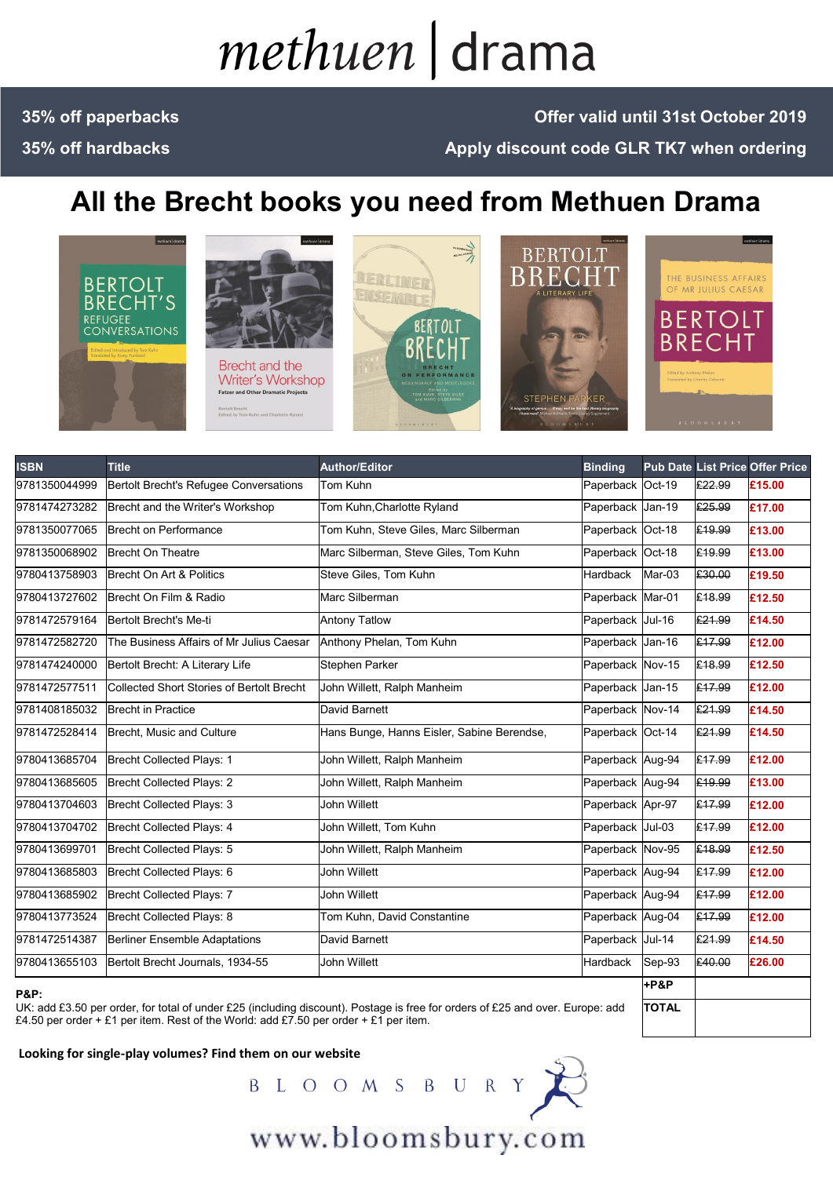# methuen drama

### **35% off paperbacks 35% off hardbacks**

### **Offer valid until 31st October 2019 Apply discount code GLR TK7 when ordering**

## **All the Brecht books you need from Methuen Drama**





**Writer's Workshop Fatzer and Other Dramatic Projects** .<br>Bertolt Brecht<br>Edited by Tom Kuhn and Charlotte Ryland







| <b>ISBN</b>     | <b>Title</b>                                     | <b>Author/Editor</b>                       | <b>Binding</b>   |        |        | <b>Pub Date List Price Offer Price</b> |
|-----------------|--------------------------------------------------|--------------------------------------------|------------------|--------|--------|----------------------------------------|
| 9781350044999   | Bertolt Brecht's Refugee Conversations           | Tom Kuhn                                   | Paperback Oct-19 |        | £22.99 | £15.00                                 |
| 9781474273282   | Brecht and the Writer's Workshop                 | Tom Kuhn, Charlotte Ryland                 | Paperback Jan-19 |        | £25.99 | £17.00                                 |
| 9781350077065   | <b>Brecht on Performance</b>                     | Tom Kuhn, Steve Giles, Marc Silberman      | Paperback Oct-18 |        | £19.99 | £13.00                                 |
| 9781350068902   | <b>Brecht On Theatre</b>                         | Marc Silberman, Steve Giles, Tom Kuhn      | Paperback Oct-18 |        | £19.99 | £13.00                                 |
| 9780413758903   | Brecht On Art & Politics                         | Steve Giles, Tom Kuhn                      | <b>Hardback</b>  | Mar-03 | £30.00 | £19.50                                 |
| 9780413727602   | Brecht On Film & Radio                           | Marc Silberman                             | Paperback Mar-01 |        | £18.99 | £12.50                                 |
| 9781472579164   | Bertolt Brecht's Me-ti                           | <b>Antony Tatlow</b>                       | Paperback Jul-16 |        | £21.99 | £14.50                                 |
| 9781472582720   | The Business Affairs of Mr Julius Caesar         | Anthony Phelan, Tom Kuhn                   | Paperback Jan-16 |        | £17.99 | £12.00                                 |
| 9781474240000   | Bertolt Brecht: A Literary Life                  | Stephen Parker                             | Paperback Nov-15 |        | £18.99 | £12.50                                 |
| 9781472577511   | <b>Collected Short Stories of Bertolt Brecht</b> | John Willett, Ralph Manheim                | Paperback Jan-15 |        | £17.99 | £12.00                                 |
| 9781408185032   | <b>Brecht in Practice</b>                        | David Barnett                              | Paperback Nov-14 |        | £21.99 | £14.50                                 |
| 9781472528414   | Brecht, Music and Culture                        | Hans Bunge, Hanns Eisler, Sabine Berendse, | Paperback Oct-14 |        | £21.99 | £14.50                                 |
| 9780413685704   | <b>Brecht Collected Plays: 1</b>                 | John Willett, Ralph Manheim                | Paperback Aug-94 |        | £17.99 | £12.00                                 |
| 9780413685605   | <b>Brecht Collected Plays: 2</b>                 | John Willett, Ralph Manheim                | Paperback Aug-94 |        | £19.99 | £13.00                                 |
| 9780413704603   | <b>Brecht Collected Plays: 3</b>                 | John Willett                               | Paperback Apr-97 |        | £17.99 | £12.00                                 |
| 9780413704702   | Brecht Collected Plays: 4                        | John Willett, Tom Kuhn                     | Paperback Jul-03 |        | £17.99 | £12.00                                 |
| 9780413699701   | Brecht Collected Plays: 5                        | John Willett, Ralph Manheim                | Paperback Nov-95 |        | £18.99 | £12.50                                 |
| 9780413685803   | Brecht Collected Plays: 6                        | John Willett                               | Paperback Aug-94 |        | £17.99 | £12.00                                 |
| 9780413685902   | Brecht Collected Plays: 7                        | John Willett                               | Paperback Aug-94 |        | £17.99 | £12.00                                 |
| 9780413773524   | Brecht Collected Plays: 8                        | Tom Kuhn, David Constantine                | Paperback Aug-04 |        | £17.99 | £12.00                                 |
| 9781472514387   | <b>Berliner Ensemble Adaptations</b>             | David Barnett                              | Paperback Jul-14 |        | £21.99 | £14.50                                 |
| 9780413655103   | Bertolt Brecht Journals, 1934-55                 | John Willett                               | Hardback         | Sep-93 | £40.00 | £26.00                                 |
| <b>P&amp;P:</b> |                                                  |                                            |                  | +P&P   |        |                                        |

UK: add £3.50 per order, for total of under £25 (including discount). Postage is free for orders of £25 and over. Europe: add £4.50 per order + £1 per item. Rest of the World: add £7.50 per order + £1 per item.



**TOTAL**

www.bloomsbury.com